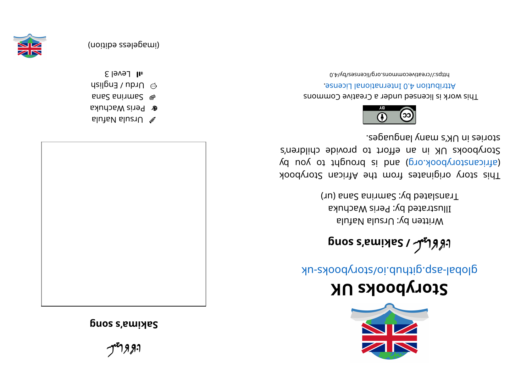97 <u>ຸ</u> ନ୍ତ୍ରୀ ادودانيك ำๆๆว

**g buos s**, **ewilles** 





- **&** Peris Wachuka
- anaS ani mas  $\blacksquare$
- $\log$  Drdu / English
- $1$   $\mathsf{II}$   $\mathsf{I}$  evel 3







## **KUskoobyr otS**

global-aspook side side side should a side as

## бuos s,ɐɯɪ়שְ*es / ዏ*ำ*Яያ*יາ u**os s'amida2 \ ألاليل.**<br>aluìal aluziU :\d netti W

Illustrated by: Peris Wachuka Translated by: Samrina Sana (ur)

This story originates from the African Storybook yd uoy ot triguor b b si b si dishood vot snach by dishologied in the value of an interest and  $\alpha$ Storybooks UK in an effort to provide children's segaugnal ynam languages.



This work is licensed under a Creative Commons . esnecial lanoit annul 0.4 noit udint A

bttps://creativecommons.org/licenses/by/4.0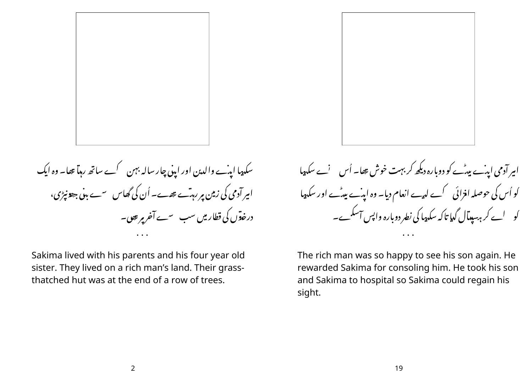

سکہپا ایدے والدین اور اپنی چار سالہ بہن کے ساتھ رہا تھا۔ وہ ایک امیر آدمی کی زمین ہر رہتے تھے۔ اُن کی گھاس سے بینی جھونیڑی، درخدوں کی قطار میں سب سے آخر پر بھی۔

Sakima lived with his parents and his four year old sister. They lived on a rich man's land. Their grassthatched hut was at the end of a row of trees.

امیر آدمی اینے پیٹے کو دوبارہ دیکھ کر بہت خوش تھا۔ اُس پسنے سکہ پیا کو اُس کی حوصلہ افزائی کے لہیے انعام دیا۔ وہ اپنے بیٹے اور سکہیا ۔ ۔ ۔<br>کو لیے کر ہہ بیدآل گدیا تاکہ سکہپا کی نطر دوبارہ واپس آسکے۔

The rich man was so happy to see his son again. He rewarded Sakima for consoling him. He took his son and Sakima to hospital so Sakima could regain his sight.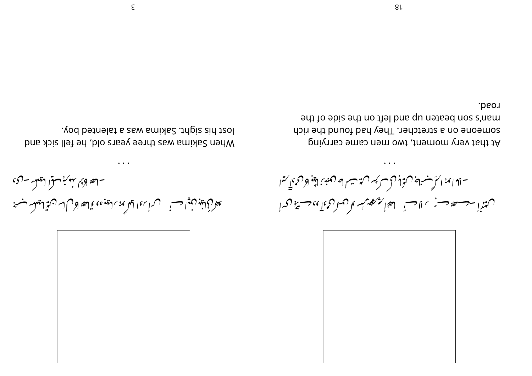

- لَعَةَ لَوْمٍ بِهُدْبِرْ مِنْ الْمَقْلِهِ - لَيْ ا يعفرني لغود فالمنافس فسنستمر المستنبة والمعاقبة والأراس نسائقه المعلق فسبحنا

lost his sight. Sakima was a talented boy. When Sakima was three years old, he fell sick and



-لا ابمنه الرَبْسُنِ فَ مِيزَا فَرْكَبِ مِينَ سِيرا فَ فَ مِينَ لَيْنَوْ لِأَرْدِي إِسْمَا کهتندا ۔ سعد سے پہلا احس گھوٹی کا مسلم کوئا ، سے گھرا

road. ont to sbiz ont no the bns qu notice and the someone on a stretcher. They had found the rich At that very moment, two men came carrying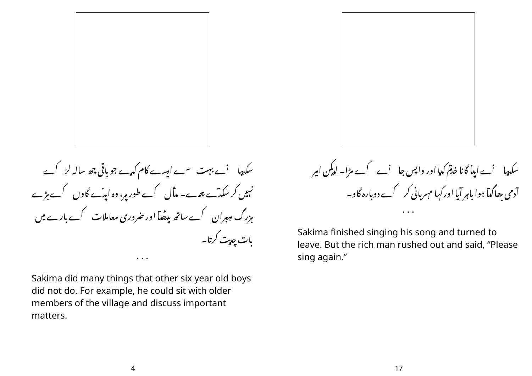

سکہپا 'ے بہت سے ایسے کام کہے جو باقی چھ سالہ لڑ گے نہیں کر سکت تھے۔ مڈل کے طور پر، وہ اینے گاوں کے بڑے مزرگ مہیران کے ساتھ بیٹھا اور ضروری معاملات کے بارے میں بات چدیت کرتا۔

Sakima did many things that other six year old boys did not do. For example, he could sit with older members of the village and discuss important matters.

سکیپا ' نے اپنا گانا خدم کیا اور واپس جا ' نے کے مڑا۔ لیکن امیر آدمی ہھاگیآ ہوا باہر آیا اورکہا مہربانی کر گے دوبارہ گاو۔

Sakima finished singing his song and turned to leave. But the rich man rushed out and said, "Please sing again."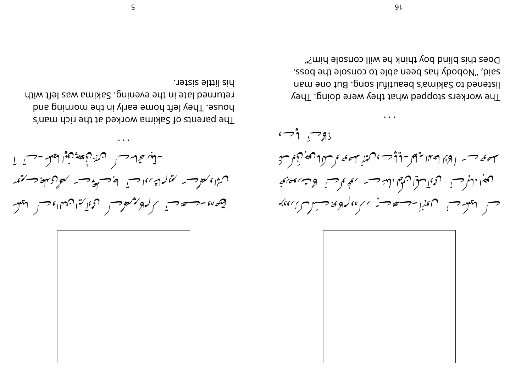

-لقبيد تقالم حساس المن المحصحة للعبوبا للعلم -حساس آ ن مع المسلم المعنى المسلم المسلم المسلم المسلم المسلم المسلم المسلم المسلم المسلم المسلم المسلم الم رجهيء، -- حديث الركوبر معرض المحمدين ن المساء حسر المعلق

his little sister. returned late in the evening. Sakima was left with bouse. They left home early in the morning and The parents of Sakima worked at the rich man's

 $\overline{\cdot}$   $\overline{\cdot}$   $\overline{\cdot}$   $\overline{\cdot}$   $\overline{\cdot}$   $\overline{\cdot}$   $\overline{\cdot}$ تلهفهم حسسه إوها لصناعي للمسافي وسياس والمستنبئ والمستنب والملج المناسرة للمفرا المرحس الردما سران في المن المناسبة المعجموح المحت بمحابي حس ایلمکس فسی استان است کا میتوان است استان استان می برایند.<br>مسلم ایلمکس استان استان استان استان استان استان استان استان استان استان استان استان استان استان استان استان اس

Does this blind boy think he will console him?" ssod and elosupp has been able to console the boss. listened to Sakima's beautiful song. But one man The workers stopped what they were doing. They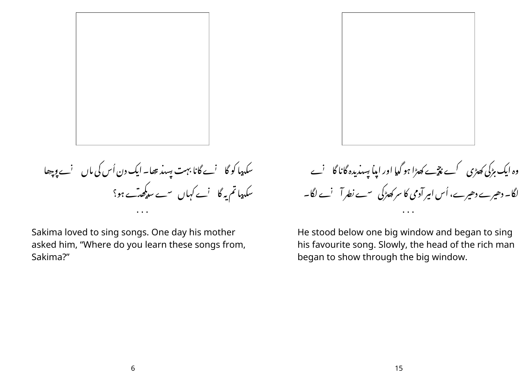

سکہپا کو گا نے گانا بہت پسند تھا۔ ایک دن اُس کی ماں نے وچھا ۔<br>سکہپاتم یہ گا <sup>ن</sup>ے کہاں <sup>س</sup>ے سو*کھٹے* ہو؟

Sakima loved to sing songs. One day his mother asked him, "Where do you learn these songs from, Sakima?"

وہ ایک مڑکی کھڑی گے نتیے کھڑا ہو گیا اور اپنا پسندیدہ گانا گا لیے لگا۔ دھیرے دھیرے، اُس امیر آدمی کا سر کھڑکی <sup>س</sup>ے نطر آ <sup>'</sup>ے لگا۔

He stood below one big window and began to sing his favourite song. Slowly, the head of the rich man began to show through the big window.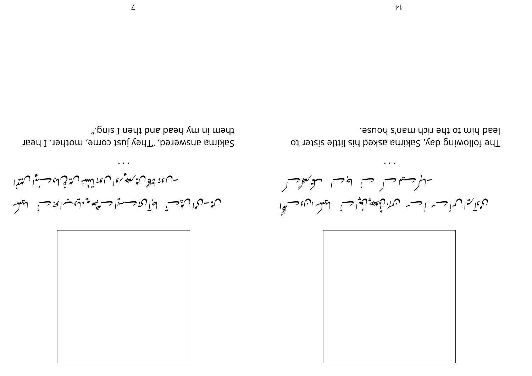

 $\ddotsc$ - ساء: لتاه سايس مصوَّر عال مع لينتسخ سايثه في لماء حسبوا سايينزا ل يوسردان الأحسي المحال من حسن المستضمة والمن والمن المستقلب

". pniz I nedt bns bsed ym ni medt Sakima answered, "They just come, mother. I hear

 $\ddot{\phantom{a}}$ الموسعات في المجرب المرحوض ردج كيراب أحسه أحسه ن مهزر كمعيون فيواحس المعلم من المحسكة

lead him to the rich man's house. The following day, Sakima asked his little sister to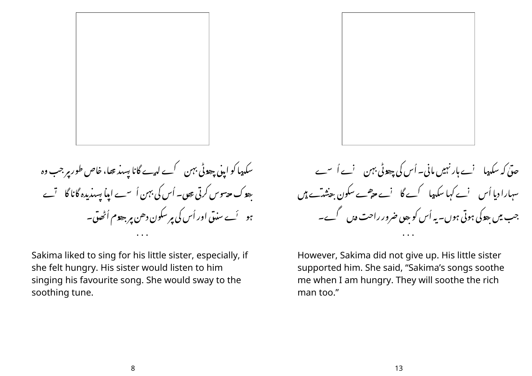

سکہیا کو اپنی چھوٹی بہن کے لہے گانا پسد بھا، خاص طور پر جب وہ ہوک جہوس کرتی تھی۔ اُس کی بہن اُ سے اپنا بسیدیدہ گانا گا تے ہو ۔ اُے سندق اور اُس کی پر سکون دھن پر جھوم اُٹھوتی۔

Sakima liked to sing for his little sister, especially, if she felt hungry. His sister would listen to him singing his favourite song. She would sway to the soothing tune.

حدّیٰ کہ سکہپا 'ے ہار نہیں مانی۔ اُس کی چھوٹی بہن 'ے اُ سے سہارا دبا اُس ٖ نے کہا سکہپا کے گا ٖ نے جوصے سکون جنشہ َے ہیں جب میں ہودگی ہوتی ہوں۔ یہ اُس کو ہوں ضرور راحت دیں گے۔

However, Sakima did not give up. His little sister supported him. She said, "Sakima's songs soothe me when I am hungry. They will soothe the rich man too."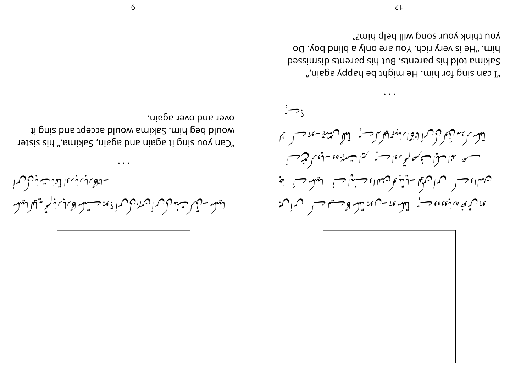

- 5 لحرب باربعا لغزات لول ا لعيلسه - تأكر ت بنول السارن للمراديم حبيب وبادباد لريبة للالعيل

over and over again. *i* puis bne tqebbs bluow smids? . mid ged bluow "Can you sing it again and again, Sakima," his sister



 $\overline{z\rightarrow}$ لەرىمىدىن كىلەن ئاسلامىيە ئەسلىرىن ئەھلىرىكى ئەسلىمىن ئاسلىرىن كىلىر مسسهر منها متوا مسجسه كسيءا ومسني كتمات منده وسقوم فتجرحت ن مسلما وحسب كسران معمل -لذلك ما كن مساء حسنوات، للمعلم حسب المح بهون ثموي مداد بن معاصر به المسلم المعرض المعدن المسلم المسلم المسلم المسلم المسلم المسلم المسلم الم

you think your song will help him?" blim. "He is very rich. You are only a blind boy. Do bessimals to a sid to a strep best but be parent a signized ", aisps vqqsn bd the might be happy again,"